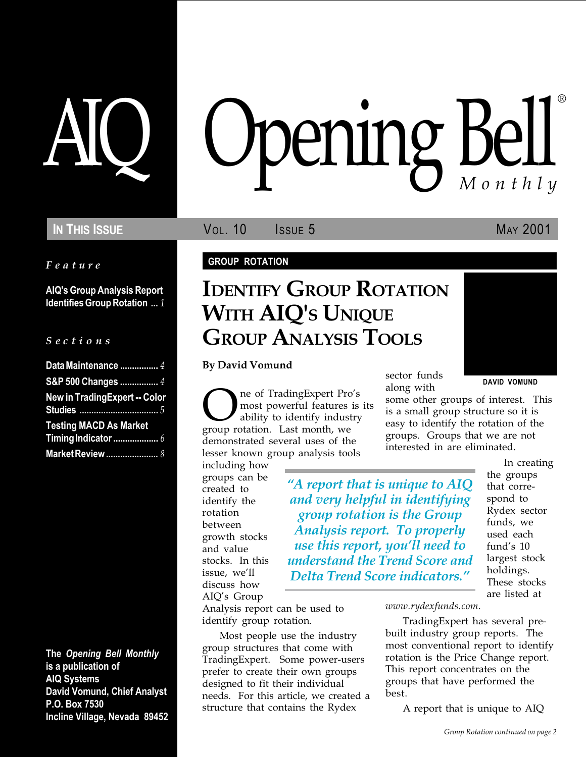Feature

AIQ's Group Analysis Report Identifies Group Rotation ... 1

#### S e c t i o n s

| Data Maintenance  4                  |  |
|--------------------------------------|--|
| S&P 500 Changes  4                   |  |
| <b>New in TradingExpert -- Color</b> |  |
| <b>Testing MACD As Market</b>        |  |
|                                      |  |
|                                      |  |

The Opening Bell Monthly is a publication of AIQ Systems David Vomund, Chief Analyst P.O. Box 7530 Incline Village, Nevada 89452

# pening Bell ®

IN THIS ISSUE **VOL. 10** ISSUE 5 MAY 2001

### GROUP ROTATION

## IDENTIFY GROUP ROTATION WITH AIO'S UNIQUE GROUP ANALYSIS TOOLS

By David Vomund

**OREGE** TradingExpert Pro's<br>
ability to identify industry<br>
group rotation. Last month, we most powerful features is its ability to identify industry demonstrated several uses of the lesser known group analysis tools

including how groups can be created to identify the rotation between growth stocks and value stocks. In this issue, we'll discuss how AIQ's Group

along with

A report that is unique to AIQ and very helpful in identifying group rotation is the Group Analysis report. To properly use this report, you'll need to understand the Trend Score and Delta Trend Score indicators.

sector funds

DAVID VOMUND

some other groups of interest. This is a small group structure so it is easy to identify the rotation of the groups. Groups that we are not interested in are eliminated.

> In creating the groups that correspond to Rydex sector funds, we used each fund's 10 largest stock holdings. These stocks are listed at

Analysis report can be used to identify group rotation.

Most people use the industry group structures that come with TradingExpert. Some power-users prefer to create their own groups designed to fit their individual needs. For this article, we created a structure that contains the Rydex

www.rydexfunds.com.

TradingExpert has several prebuilt industry group reports. The most conventional report to identify rotation is the Price Change report. This report concentrates on the groups that have performed the best.

A report that is unique to AIQ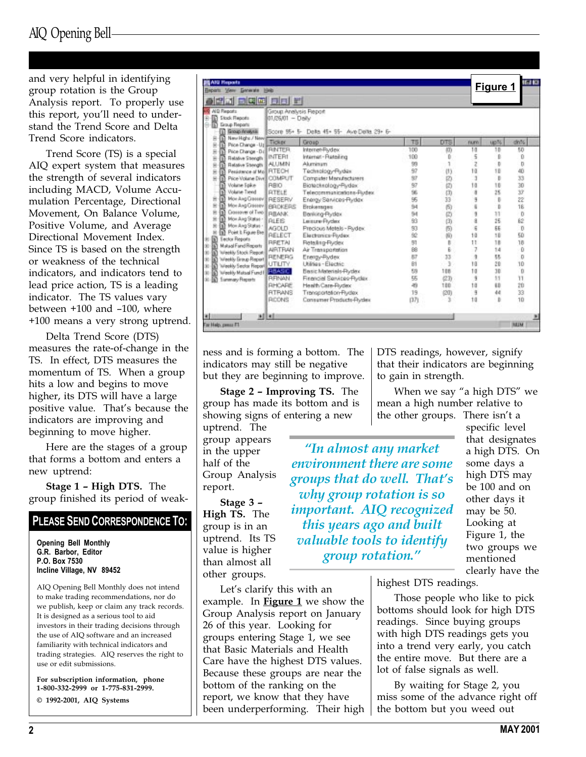### AIQ Opening Bell

and very helpful in identifying group rotation is the Group Analysis report. To properly use this report, you'll need to understand the Trend Score and Delta Trend Score indicators.

Trend Score (TS) is a special AIQ expert system that measures the strength of several indicators including MACD, Volume Accumulation Percentage, Directional Movement, On Balance Volume, Positive Volume, and Average Directional Movement Index. Since TS is based on the strength or weakness of the technical indicators, and indicators tend to lead price action, TS is a leading indicator. The TS values vary between  $+100$  and  $-100$ , where +100 means a very strong uptrend.

Delta Trend Score (DTS) measures the rate-of-change in the TS. In effect, DTS measures the momentum of TS. When a group hits a low and begins to move higher, its DTS will have a large positive value. That's because the indicators are improving and beginning to move higher.

Here are the stages of a group that forms a bottom and enters a new uptrend:

**Stage 1 - High DTS.** The group finished its period of weak-

### PLEASE SEND CORRESPONDENCE TO:

Opening Bell Monthly G.R. Barbor, Editor P.O. Box 7530 Incline Village, NV 89452

AIQ Opening Bell Monthly does not intend to make trading recommendations, nor do we publish, keep or claim any track records. It is designed as a serious tool to aid investors in their trading decisions through the use of AIQ software and an increased familiarity with technical indicators and trading strategies. AIQ reserves the right to use or edit submissions.

For subscription information, phone 1-800-332-2999 or 1-775-831-2999.

© 1992-2001, AIQ Systems

| <b>AIG Reports</b>                                                    |                                            |                                             |            |        |               |          | 18 E                |
|-----------------------------------------------------------------------|--------------------------------------------|---------------------------------------------|------------|--------|---------------|----------|---------------------|
| Beparts View Generate Help                                            |                                            |                                             |            |        |               | Figure 1 |                     |
| <u>aa eee oo ri</u>                                                   |                                            |                                             |            |        |               |          |                     |
| <b>ND Reports</b><br>而<br>Stock Finacets<br><b>Group Reports</b><br>n | Group Analysis Report<br>$01/26/01 - DBly$ |                                             |            |        |               |          |                     |
| Group Analysis<br>New Highs / New 2                                   | Ticker                                     | Score 95+ 5- Delta 45+ 55- Ave Delta 29+ 6- |            |        |               |          |                     |
| Price Change - Uz                                                     |                                            | Group                                       | T5         | DTS    | <b>FIGHTS</b> | up%      | dn?4                |
| Price Change - Did                                                    | <b>RINTER</b><br><b>INTERI</b>             | Internet-Psydex                             | 100<br>100 | (0)    | 10<br>5       | 10<br>Đ  | 50<br>Ŭ             |
| Relative Strength                                                     | ALUMN                                      | Internet - Retailing<br>Akaminum            | 99         | Đ<br>1 | ż             | b        | D                   |
| Relative Strength<br>Pesistence of Mo FITECH                          |                                            | Technology-Rydex                            | 97         | (1)    | tū            | 10       | 40                  |
| ė<br>F<br>ü<br>Price Volume Dive COMPUT<br>к                          |                                            | Computer Menufacturers                      | 37         | 的      | J,            | b        | 33                  |
| Volume Spike                                                          | RBIO                                       | Biotechnology-Rydex                         | 97         | 囟      | 10            | 16       | 30                  |
| Volutie Tiend                                                         | <b>PITELE</b>                              | Telecommunications-Plydex                   | 96         | (3)    | ä             | 25       | Ÿ                   |
| Mor Ang Gerrey   RESERV<br>в                                          |                                            | Energy Services-Rydex                       | 95         | 33     | 9             | t        | 22                  |
| п<br>Mor Ang Crimevil BROKERS                                         |                                            | Brokerages                                  | 94         | 向      | ŝ             | b        | 16                  |
| N<br>Crossover of Time   FLEANIK                                      |                                            | Banking-Rydex                               | 94         | Ø      | 9             | 11       | $\overline{0}$      |
| п<br>Mor Ang Status -                                                 | <b>ALES</b>                                | Le sure Flydex                              | 鲐          | (3)    | ä             | 25       | 62                  |
| Mon Ang Status -<br>п                                                 | <b>AGOLD</b>                               | Precious Metals - Rudex:                    | 93         | 励      | š             | £E       | $\mathbf{0}$        |
| Point & Figure Ble<br>m                                               | RELECT                                     | Electronics-Flydex                          | 92         | 临      | 10            | 18       | 50                  |
| ector Reports<br>ଲ                                                    | <b>RRETAL</b>                              | Retailing-Rudex                             | 91         | в      | $\mathbf{1}$  | 18       | 18                  |
| Matual Fand Reports<br>ĸ                                              | <b>AIRTRAN</b>                             | Air Transportation                          | 88         | Ë.     | 7             | 14       | $\ddot{\mathbf{0}}$ |
| Weekly Stock Preson<br>励                                              | RENERG                                     | Energy-Plydex                               | fs?        | 13     | 9             | tt.      | $\mathbf{D}$        |
| Weekly Broup Report<br>m                                              | <b>UTLITY</b>                              | Lititias - Electric                         | Bİ         | 3      | 10            | 26       | 10                  |
| Weekly Sector Report<br>冏                                             | <b>PEASC.</b>                              | Basic Materials-Rydax                       | 59         | 108    | 10            | 30       | 'n                  |
| Weekly Matsal Fund I<br>ю<br><b>Sammary Reports</b>                   | <b>RFINAN</b>                              | Financial Services-Rudex                    | 55         | (23)   | ÿ             | 11       | ĩĩ                  |
|                                                                       | <b>RHCARE</b>                              | Health Care-Rydex                           | 49         | 180    | tā            | 12       | 2Ú                  |
|                                                                       | <b>RTRANS</b>                              | Transportation-Rydex                        | 19         | (20)   | 3             | 44       | 33                  |
|                                                                       | RCONS                                      | Consumer Products-Purdex                    | (37)       | з      | 10            | b        | 10                  |
|                                                                       | <b>All all</b>                             |                                             |            |        |               |          |                     |
| For Help, pensi F1                                                    |                                            |                                             |            |        |               |          | <b>IRALIN</b>       |

ness and is forming a bottom. The indicators may still be negative but they are beginning to improve.

**Stage 2 - Improving TS.** The group has made its bottom and is showing signs of entering a new

uptrend. The group appears in the upper half of the Group Analysis report.

Stage 3 High TS. The group is in an uptrend. Its TS value is higher than almost all other groups.

Let's clarify this with an example. In **Figure 1** we show the Group Analysis report on January 26 of this year. Looking for groups entering Stage 1, we see that Basic Materials and Health Care have the highest DTS values. Because these groups are near the bottom of the ranking on the report, we know that they have been underperforming. Their high DTS readings, however, signify that their indicators are beginning to gain in strength.

When we say "a high DTS" we mean a high number relative to the other groups. There isn't a

In almost any market environment there are some groups that do well. That's why group rotation is so important. AIQ recognized this years ago and built valuable tools to identify group rotation.

specific level that designates a high DTS. On some days a high DTS may be 100 and on other days it may be 50. Looking at Figure 1, the two groups we mentioned clearly have the

highest DTS readings.

Those people who like to pick bottoms should look for high DTS readings. Since buying groups with high DTS readings gets you into a trend very early, you catch the entire move. But there are a lot of false signals as well.

By waiting for Stage 2, you miss some of the advance right off the bottom but you weed out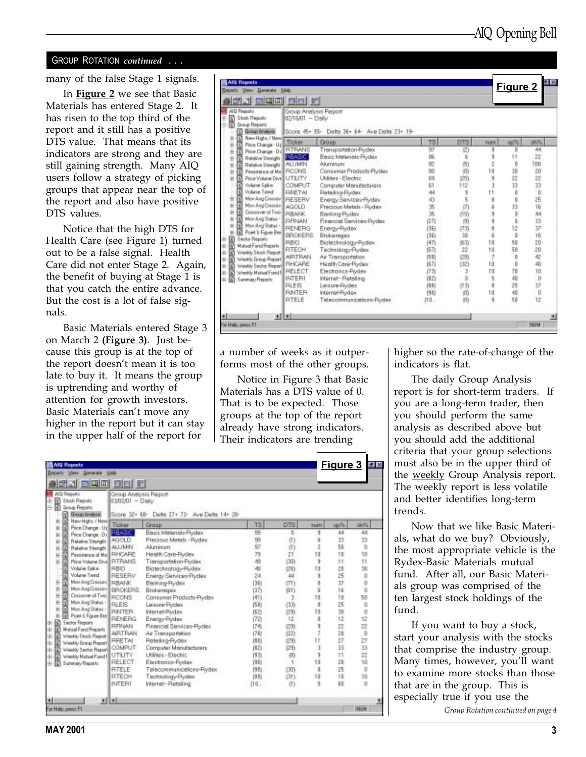#### GROUP ROTATION continued . . .

many of the false Stage 1 signals.

In **Figure 2** we see that Basic Materials has entered Stage 2. It has risen to the top third of the report and it still has a positive DTS value. That means that its indicators are strong and they are still gaining strength. Many AIQ users follow a strategy of picking groups that appear near the top of the report and also have positive DTS values.

Notice that the high DTS for Health Care (see Figure 1) turned out to be a false signal. Health Care did not enter Stage 2. Again, the benefit of buying at Stage 1 is that you catch the entire advance. But the cost is a lot of false signals.

Basic Materials entered Stage 3 on March 2 (Figure 3). Just because this group is at the top of the report doesn't mean it is too late to buy it. It means the group is uptrending and worthy of attention for growth investors. Basic Materials can't move any higher in the report but it can stay in the upper half of the report for

| <b>BQE 00 F</b><br><b>BB</b>                                     |                                               |       |      |               |              |               |
|------------------------------------------------------------------|-----------------------------------------------|-------|------|---------------|--------------|---------------|
|                                                                  |                                               |       |      |               |              |               |
| <b>AID Reports</b><br>Stock Reports<br><b>Group Fleparts</b>     | Group Analysis Report<br>02/16/01 - Delly     |       |      |               |              |               |
| Group Analysis                                                   | Score 45+ 55- Delts 36+ 64- Ave Delts 23+ 19- |       |      |               |              |               |
| New Highs / New 2<br>Ticker<br>Price Change - Up                 | Group                                         | TS    | DTS  | <b>FKRYN</b>  | up%          | dn%           |
| Ė<br><b>RTRANS</b><br>ŝ<br>Price Change - Did                    | Trensportation-Rudex                          | 97    | 亿    | ŋ             | Ð            | 44            |
| <b>REASIC</b><br>ŝ<br>Relative Strength<br>м                     | Besic Meteriols-Ftydex                        | 86    | 6    | ÿ             | 11           | 22            |
| <b>AUJMN</b><br>Relative Strength<br>ġ<br>М                      | Aluminum                                      | 腚     | 750  | Ž             | Þ            | 100           |
| Pesidence of Most RCONS<br>ė                                     | Consumer Products-Rydex                       | 80    | (0)  | tū            | 30           | 20            |
| ü<br>Price Volume Dive LITILITY                                  | Libities - Electric                           | 89    | (25) | ä             | $22^{\circ}$ | žź            |
| Volume Spike<br>COMPUT                                           | Computer Manufacturers                        | 61    | 112  | 3             | 33           | 33            |
| Volutie Tiend<br><b>RRETAL</b>                                   | Fleta ling-Flydex                             | 44    | 9    | $\mathbf{11}$ | в            | - O           |
| Mor Ang Genev   RESERV<br>м                                      | Energy Services-Rydex                         | 43    | 5    | ā             | Ü            | 25            |
| m<br>Mor Ang Cristev AGOLD<br>×                                  | Precious Metals - Plydex                      | 36    | (7)  |               | 33           | 16            |
| Crossover of Time   FLBANK<br>ė<br>м                             | Banking-Rydex                                 | 35    | (15) | 9             | B            | 44            |
| П<br>Mor Ang States .   FIFINAN<br>Ň                             | Financial Services-Flydex                     | (27)  | (2)  | ä             | b            | 33            |
| Mon Ang Status - I<br>ü<br>м<br><b>RENERG</b>                    | Energy-Padex                                  | (35)  | (73) | 9             | 12           | 37            |
| Point & Figure Ble<br>m<br>BROKERS<br><b>Fector Reports</b><br>m | <b>Enclosinges</b>                            | ថត    | 30   | ä             | t.           | 16            |
| RBIO<br>Matagl Fand Reports                                      | Biotechnology-Rydex                           | [47]  | (53) | 10            | 50           | ZD.           |
| RTECH<br>Weekly Stock Report<br>œ                                | Technology-Rydex                              | (57)  | 22   | 10            | 50           | 20            |
| <b>AIRTRAN</b><br>Weekly Broup Report<br>n                       | Air Transportation                            | (5.8) | ØD   | 7             | D            | 崆             |
| RHCARE<br>Weekly Sector Report                                   | Health Care-Rydex                             | (57)  | (32) | 10            | b            | 40            |
| Weekly Matual Fund F RELECT                                      | Electronics-Piydex                            | (73)  | з    | 10            | 70           | 10            |
| <b>INTER1</b><br><b>Sammary Reports</b>                          | Internat-Retailing                            | ほ打    | Đ    | 5             | 40           | 0             |
| <b>RLEIS</b>                                                     | Leisure-Rydex                                 | 四町    | (1页) | ä             | 25           | 37            |
| <b>RINTER</b>                                                    | Internat-Fludex                               | 图形    | 仰    | 10            | 40           | Ŭ             |
| <b>FITELE</b>                                                    | Telecommunications-Pixdex                     | (10.  | 83   | ä             | 56           | 12            |
| 利用                                                               |                                               |       |      |               |              |               |
| Far Halp, pass F1                                                |                                               |       |      |               |              | <b>INSURA</b> |

a number of weeks as it outperforms most of the other groups.

Notice in Figure 3 that Basic Materials has a DTS value of 0. That is to be expected. Those groups at the top of the report already have strong indicators. Their indicators are trending

|                                                                                                                                                                                                                                                                                                                                                                                                                                                                                                                                                                    | <b>BQC 00 0</b>                                                                                                                                                    |                                                                                                                                                                                                                                                                                                                                                                                                                          |                                                                                                                                  |                                                                                                                                     |                                                               |                                                                                                                           |                                                                                                                             |  |  |
|--------------------------------------------------------------------------------------------------------------------------------------------------------------------------------------------------------------------------------------------------------------------------------------------------------------------------------------------------------------------------------------------------------------------------------------------------------------------------------------------------------------------------------------------------------------------|--------------------------------------------------------------------------------------------------------------------------------------------------------------------|--------------------------------------------------------------------------------------------------------------------------------------------------------------------------------------------------------------------------------------------------------------------------------------------------------------------------------------------------------------------------------------------------------------------------|----------------------------------------------------------------------------------------------------------------------------------|-------------------------------------------------------------------------------------------------------------------------------------|---------------------------------------------------------------|---------------------------------------------------------------------------------------------------------------------------|-----------------------------------------------------------------------------------------------------------------------------|--|--|
| <b>AID Finanzia</b><br>m<br>Stock Reports<br>Group Reports<br>п<br>Group Analysis                                                                                                                                                                                                                                                                                                                                                                                                                                                                                  | Group Analysis Report<br>$0302/01 - Dm/s$<br>Score 32+ EB- Delta 27+ 73- Ave Delta 14+ 29-                                                                         |                                                                                                                                                                                                                                                                                                                                                                                                                          |                                                                                                                                  |                                                                                                                                     |                                                               |                                                                                                                           |                                                                                                                             |  |  |
| New Highs / New<br>П<br>Price Change - Up<br>П<br>ж                                                                                                                                                                                                                                                                                                                                                                                                                                                                                                                | Ticker                                                                                                                                                             | Group                                                                                                                                                                                                                                                                                                                                                                                                                    | <b>TS</b>                                                                                                                        | <b>DTS</b>                                                                                                                          | <b>FILITY:</b>                                                | up/4                                                                                                                      | drils.                                                                                                                      |  |  |
| Price Change - 0 (3)<br>×<br><b>Relative Strength</b><br>×<br>Relative Strength 4LUMIN<br>×<br>Petatence of Mo FRHCARE<br>s<br>Price Volume Dive   FLT RANS<br>Volume Spike<br>Volume Trend<br>Mor Ang Cressev   FLIMAN<br>Ξ<br><b>Mor Ang Gissav   BROKERS</b><br>Dossover of Two   RCCNS<br>Mor Ang States .   FILEIS<br>ŵ<br>Mor Ang Status - 3<br>×<br>Point & Figure Blvd<br>Sector Reports<br>⋒<br>Mutual Fand Reports<br>œ<br>Weekly Stock Report<br>œ<br>Weekly Broup Report<br>œ.<br>Weekly Sector Report<br>Weekly Mutual Fund F<br>Summary Reports<br>Đ | <b>PHASIC</b><br><b>AGOLD</b><br>RBIO<br><b>RESERV</b><br><b>RINTER</b><br>RENERG<br><b>RENAN</b><br><b>AIRTFULN</b><br><b>RRETAL</b><br>COMPUT<br>UTUTY<br>RELECT | Basic Materials Flydex<br>Precious Metals - Rudex<br>Aluminum<br>Heelth Care-Rudex<br>Transportation-Rydex<br>Biotechnology-Rydex<br>Energy Services Rydex<br>Benking-Rydex<br>Brokerages<br>Consumer Products-Rutlex<br>Leisure-Flydex<br>Internet-Fludex<br>Energy-Plydex<br>Financial Services-Rydax<br>Air Transportation<br>Retailing-Rydex<br>Computer Manufacturers<br>Utilities - Electric<br>Electronics-Flydex | 弼<br>99<br>97<br>79<br>49<br>40<br>24<br>门钉<br>(37)<br>[41]<br>(58)<br>(52)<br>(72)<br>(74)<br>(78)<br>闭肌<br>(82)<br>(9.7)<br>图形 | b<br>(1)<br>(1)<br>21<br>(30)<br>(26)<br>44<br>(71)<br>(81)<br>J.<br>(33)<br>(29)<br>12<br>(29)<br>(22)<br>(23)<br>(29)<br>(3)<br>1 | 10<br>à<br>18<br>10<br>ä<br>18<br>ä<br>J<br>Ħ<br>3<br>3<br>10 | 44<br>33<br>50<br>1B<br>11<br>20<br>25<br>37<br>16<br>18<br>25<br>10<br>12<br>22<br>28<br>27<br>35.<br>11<br>$20^{\circ}$ | 44<br>33<br>$\Omega$<br>10<br>11<br>30<br>Ŭ<br>b<br>ō<br>50<br>Ŭ<br>$\overline{D}$<br>12<br>22<br>D<br>27<br>33<br>22<br>10 |  |  |
|                                                                                                                                                                                                                                                                                                                                                                                                                                                                                                                                                                    | <b>RTELE</b><br><b>FITEDH</b><br><b>INTERI</b><br><b>EILEL</b>                                                                                                     | Teleconmunications-Rydex<br>Technology-Rydex<br>Internet-Retailing                                                                                                                                                                                                                                                                                                                                                       | 图形<br>图解<br>$(10 -$                                                                                                              | (30)<br>(31)<br>(1)                                                                                                                 | $\overline{a}$<br>10<br>5                                     | 25<br>10<br>50                                                                                                            | $\overline{0}$<br>10<br>$\overline{0}$                                                                                      |  |  |

higher so the rate-of-change of the indicators is flat.

The daily Group Analysis report is for short-term traders. If you are a long-term trader, then you should perform the same analysis as described above but you should add the additional criteria that your group selections must also be in the upper third of the weekly Group Analysis report. The weekly report is less volatile and better identifies long-term trends.

Now that we like Basic Materials, what do we buy? Obviously, the most appropriate vehicle is the Rydex-Basic Materials mutual fund. After all, our Basic Materials group was comprised of the ten largest stock holdings of the fund.

Group Rotation continued on page 4 If you want to buy a stock, start your analysis with the stocks that comprise the industry group. Many times, however, you'll want to examine more stocks than those that are in the group. This is especially true if you use the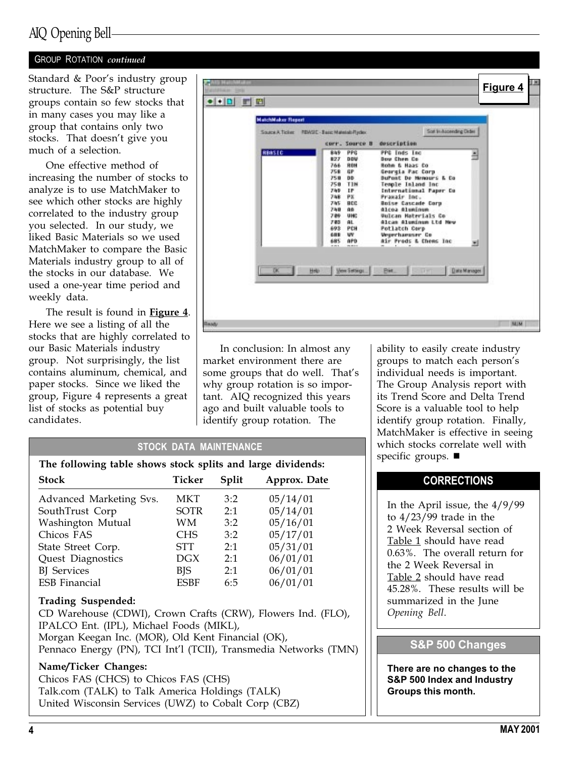### AIQ Opening Bell

### GROUP ROTATION continued

Standard & Poor's industry group structure. The S&P structure groups contain so few stocks that in many cases you may like a group that contains only two stocks. That doesn't give you much of a selection.

One effective method of increasing the number of stocks to analyze is to use MatchMaker to see which other stocks are highly correlated to the industry group you selected. In our study, we liked Basic Materials so we used MatchMaker to compare the Basic Materials industry group to all of the stocks in our database. We used a one-year time period and weekly data.

The result is found in Figure 4. Here we see a listing of all the stocks that are highly correlated to our Basic Materials industry group. Not surprisingly, the list contains aluminum, chemical, and paper stocks. Since we liked the group, Figure 4 represents a great list of stocks as potential buy candidates.



In conclusion: In almost any market environment there are some groups that do well. That's why group rotation is so important. AIQ recognized this years ago and built valuable tools to identify group rotation. The

ability to easily create industry groups to match each person's individual needs is important. The Group Analysis report with its Trend Score and Delta Trend Score is a valuable tool to help identify group rotation. Finally, MatchMaker is effective in seeing which stocks correlate well with specific groups.  $\blacksquare$ 

### **CORRECTIONS**

In the April issue, the 4/9/99 to 4/23/99 trade in the 2 Week Reversal section of Table 1 should have read 0.63%. The overall return for the 2 Week Reversal in Table 2 should have read 45.28%. These results will be summarized in the June Opening Bell.

### S&P 500 Changes

There are no changes to the S&P 500 Index and Industry Groups this month.

### STOCK DATA MAINTENANCE

| <b>Stock</b>            | Ticker      | Split | Approx. Date |
|-------------------------|-------------|-------|--------------|
| Advanced Marketing Svs. | MKT         | 3:2   | 05/14/01     |
| SouthTrust Corp         | <b>SOTR</b> | 2:1   | 05/14/01     |
| Washington Mutual       | WМ          | 3:2   | 05/16/01     |
| Chicos FAS              | <b>CHS</b>  | 3:2   | 05/17/01     |
| State Street Corp.      | STT         | 2:1   | 05/31/01     |
| Quest Diagnostics       | DGX         | 2:1   | 06/01/01     |
| <b>BJ</b> Services      | BJS         | 2:1   | 06/01/01     |
| <b>ESB</b> Financial    | <b>ESBF</b> | 6:5   | 06/01/01     |

#### Trading Suspended:

CD Warehouse (CDWI), Crown Crafts (CRW), Flowers Ind. (FLO), IPALCO Ent. (IPL), Michael Foods (MIKL), Morgan Keegan Inc. (MOR), Old Kent Financial (OK), Pennaco Energy (PN), TCI Int'l (TCII), Transmedia Networks (TMN)

### Name/Ticker Changes:

Chicos FAS (CHCS) to Chicos FAS (CHS) Talk.com (TALK) to Talk America Holdings (TALK) United Wisconsin Services (UWZ) to Cobalt Corp (CBZ)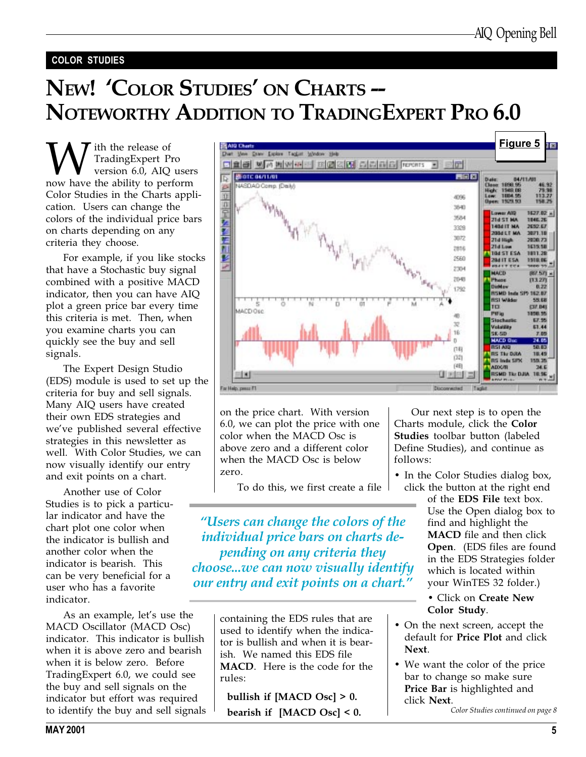### COLOR STUDIES

# NEW! 'COLOR STUDIES' ON CHARTS --NOTEWORTHY ADDITION TO TRADINGEXPERT PRO 6.0

**W** TradingExpert Pro<br>
version 6.0, AIQ user<br>
now have the ability to perform TradingExpert Pro version 6.0, AIQ users Color Studies in the Charts application. Users can change the colors of the individual price bars on charts depending on any criteria they choose.

For example, if you like stocks that have a Stochastic buy signal combined with a positive MACD indicator, then you can have AIQ plot a green price bar every time this criteria is met. Then, when you examine charts you can quickly see the buy and sell signals.

The Expert Design Studio (EDS) module is used to set up the criteria for buy and sell signals. Many AIQ users have created their own EDS strategies and we've published several effective strategies in this newsletter as well. With Color Studies, we can now visually identify our entry and exit points on a chart.

Another use of Color Studies is to pick a particular indicator and have the chart plot one color when the indicator is bullish and another color when the indicator is bearish. This can be very beneficial for a user who has a favorite indicator.

As an example, let's use the MACD Oscillator (MACD Osc) indicator. This indicator is bullish when it is above zero and bearish when it is below zero. Before TradingExpert 6.0, we could see the buy and sell signals on the indicator but effort was required to identify the buy and sell signals



on the price chart. With version 6.0, we can plot the price with one color when the MACD Osc is above zero and a different color when the MACD Osc is below zero.

To do this, we first create a file

Users can change the colors of the individual price bars on charts depending on any criteria they choose...we can now visually identify our entry and exit points on a chart."

> containing the EDS rules that are used to identify when the indicator is bullish and when it is bearish. We named this EDS file MACD. Here is the code for the rules:

bullish if [MACD Osc] > 0. bearish if [MACD Osc] < 0.

Our next step is to open the Charts module, click the Color Studies toolbar button (labeled Define Studies), and continue as follows:

• In the Color Studies dialog box, click the button at the right end

of the EDS File text box. Use the Open dialog box to find and highlight the MACD file and then click Open. (EDS files are found in the EDS Strategies folder which is located within your WinTES 32 folder.)

### Click on Create New Color Study.

- On the next screen, accept the default for Price Plot and click Next.
- We want the color of the price bar to change so make sure Price Bar is highlighted and click Next.

Color Studies continued on page 8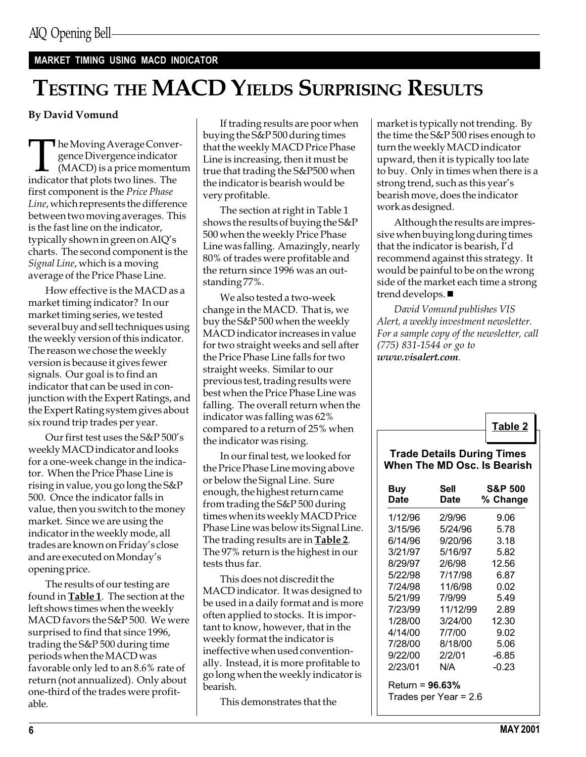### MARKET TIMING USING MACD INDICATOR

### TESTING THE MACD YIELDS SURPRISING RESULTS

### By David Vomund

The Moving Average Convergence Divergence indicator<br>
(MACD) is a price momenture indicator that plots two lines. The gence Divergence indicator (MACD) is a price momentum first component is the Price Phase Line, which represents the difference between two moving averages. This is the fast line on the indicator, typically shown in green on  $\text{AIQ}'\text{s}$ charts. The second component is the Signal Line, which is a moving average of the Price Phase Line.

How effective is the MACD as a market timing indicator? In our market timing series, we tested several buy and sell techniques using the weekly version of this indicator. The reason we chose the weekly version is because it gives fewer signals. Our goal is to find an indicator that can be used in conjunction with the Expert Ratings, and the Expert Rating system gives about six round trip trades per year.

Our first test uses the S&P 500's weekly MACD indicator and looks for a one-week change in the indicator. When the Price Phase Line is rising in value, you go long the S&P 500. Once the indicator falls in value, then you switch to the money market. Since we are using the indicator in the weekly mode, all trades are known on Friday's close and are executed on Monday's opening price.

The results of our testing are found in **Table 1**. The section at the left shows times when the weekly MACD favors the S&P 500. We were surprised to find that since 1996, trading the S&P 500 during time periods when the MACD was favorable only led to an 8.6% rate of return (not annualized). Only about one-third of the trades were profitable.

If trading results are poor when buying the S&P 500 during times that the weekly MACD Price Phase Line is increasing, then it must be true that trading the S&P500 when the indicator is bearish would be very profitable.

The section at right in Table 1 shows the results of buying the S&P 500 when the weekly Price Phase Line was falling. Amazingly, nearly 80% of trades were profitable and the return since 1996 was an outstanding 77%.

We also tested a two-week change in the MACD. That is, we buy the S&P 500 when the weekly MACD indicator increases in value for two straight weeks and sell after the Price Phase Line falls for two straight weeks. Similar to our previous test, trading results were best when the Price Phase Line was falling. The overall return when the indicator was falling was 62% compared to a return of 25% when the indicator was rising.

In our final test, we looked for the Price Phase Line moving above or below the Signal Line. Sure enough, the highest return came from trading the S&P 500 during times when its weekly MACD Price Phase Line was below its Signal Line. The trading results are in **Table 2**. The 97% return is the highest in our tests thus far.

This does not discredit the MACD indicator. It was designed to be used in a daily format and is more often applied to stocks. It is important to know, however, that in the weekly format the indicator is ineffective when used conventionally. Instead, it is more profitable to go long when the weekly indicator is bearish.

This demonstrates that the

market is typically not trending. By the time the S&P 500 rises enough to turn the weekly MACD indicator upward, then it is typically too late to buy. Only in times when there is a strong trend, such as this year's bearish move, does the indicator work as designed.

Although the results are impressive when buying long during times that the indicator is bearish, I'd recommend against this strategy. It would be painful to be on the wrong side of the market each time a strong trend develops.  $\blacksquare$ 

David Vomund publishes VIS Alert, a weekly investment newsletter. For a sample copy of the newsletter, call (775) 831-1544 or go to www.visalert.com.

### Table 2

### Trade Details During Times When The MD Osc. Is Bearish

| Buy<br>Date | Sell<br>Date | <b>S&amp;P 500</b><br>% Change |
|-------------|--------------|--------------------------------|
| 1/12/96     | 2/9/96       | 9.06                           |
| 3/15/96     | 5/24/96      | 5.78                           |
| 6/14/96     | 9/20/96      | 3.18                           |
| 3/21/97     | 5/16/97      | 5.82                           |
| 8/29/97     | 2/6/98       | 12.56                          |
| 5/22/98     | 7/17/98      | 6.87                           |
| 7/24/98     | 11/6/98      | 0.02                           |
| 5/21/99     | 7/9/99       | 5.49                           |
| 7/23/99     | 11/12/99     | 2.89                           |
| 1/28/00     | 3/24/00      | 12.30                          |
| 4/14/00     | 7/7/00       | 9.02                           |
| 7/28/00     | 8/18/00      | 5.06                           |
| 9/22/00     | 2/2/01       | -6.85                          |
| 2/23/01     | N/A          | -0.23                          |
|             | 880/         |                                |

Return = 96.63% Trades per Year = 2.6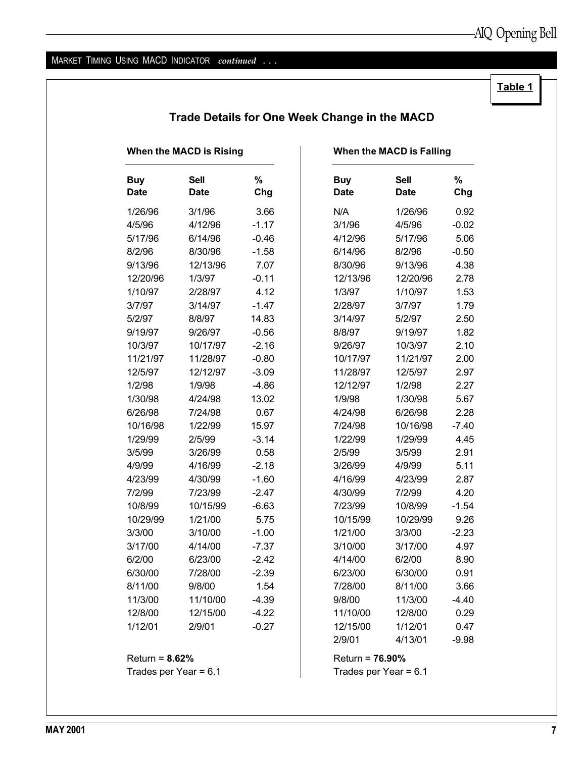### MARKET TIMING USING MACD INDICATOR continued ...

### Table 1

| When the MACD is Rising |                            |          | When the MACD is Falling  |                            |          |  |
|-------------------------|----------------------------|----------|---------------------------|----------------------------|----------|--|
| <b>Buy</b><br>Date      | <b>Sell</b><br><b>Date</b> | %<br>Chg | <b>Buy</b><br><b>Date</b> | <b>Sell</b><br><b>Date</b> | %<br>Chg |  |
| 1/26/96                 | 3/1/96                     | 3.66     | N/A                       | 1/26/96                    | 0.92     |  |
| 4/5/96                  | 4/12/96                    | $-1.17$  | 3/1/96                    | 4/5/96                     | $-0.02$  |  |
| 5/17/96                 | 6/14/96                    | $-0.46$  | 4/12/96                   | 5/17/96                    | 5.06     |  |
| 8/2/96                  | 8/30/96                    | $-1.58$  | 6/14/96                   | 8/2/96                     | $-0.50$  |  |
| 9/13/96                 | 12/13/96                   | 7.07     | 8/30/96                   | 9/13/96                    | 4.38     |  |
| 12/20/96                | 1/3/97                     | $-0.11$  | 12/13/96                  | 12/20/96                   | 2.78     |  |
| 1/10/97                 | 2/28/97                    | 4.12     | 1/3/97                    | 1/10/97                    | 1.53     |  |
| 3/7/97                  | 3/14/97                    | $-1.47$  | 2/28/97                   | 3/7/97                     | 1.79     |  |
| 5/2/97                  | 8/8/97                     | 14.83    | 3/14/97                   | 5/2/97                     | 2.50     |  |
| 9/19/97                 | 9/26/97                    | $-0.56$  | 8/8/97                    | 9/19/97                    | 1.82     |  |
| 10/3/97                 | 10/17/97                   | $-2.16$  | 9/26/97                   | 10/3/97                    | 2.10     |  |
| 11/21/97                | 11/28/97                   | $-0.80$  | 10/17/97                  | 11/21/97                   | 2.00     |  |
| 12/5/97                 | 12/12/97                   | $-3.09$  | 11/28/97                  | 12/5/97                    | 2.97     |  |
| 1/2/98                  | 1/9/98                     | $-4.86$  | 12/12/97                  | 1/2/98                     | 2.27     |  |
| 1/30/98                 | 4/24/98                    | 13.02    | 1/9/98                    | 1/30/98                    | 5.67     |  |
| 6/26/98                 | 7/24/98                    | 0.67     | 4/24/98                   | 6/26/98                    | 2.28     |  |
| 10/16/98                | 1/22/99                    | 15.97    | 7/24/98                   | 10/16/98                   | $-7.40$  |  |
| 1/29/99                 | 2/5/99                     | $-3.14$  | 1/22/99                   | 1/29/99                    | 4.45     |  |
| 3/5/99                  | 3/26/99                    | 0.58     | 2/5/99                    | 3/5/99                     | 2.91     |  |
| 4/9/99                  | 4/16/99                    | $-2.18$  | 3/26/99                   | 4/9/99                     | 5.11     |  |
| 4/23/99                 | 4/30/99                    | $-1.60$  | 4/16/99                   | 4/23/99                    | 2.87     |  |
| 7/2/99                  | 7/23/99                    | $-2.47$  | 4/30/99                   | 7/2/99                     | 4.20     |  |
| 10/8/99                 | 10/15/99                   | $-6.63$  | 7/23/99                   | 10/8/99                    | $-1.54$  |  |
| 10/29/99                | 1/21/00                    | 5.75     | 10/15/99                  | 10/29/99                   | 9.26     |  |
| 3/3/00                  | 3/10/00                    | $-1.00$  | 1/21/00                   | 3/3/00                     | $-2.23$  |  |
| 3/17/00                 | 4/14/00                    | -7.37    | 3/10/00                   | 3/17/00                    | 4.97     |  |
| 6/2/00                  | 6/23/00                    | $-2.42$  | 4/14/00                   | 6/2/00                     | 8.90     |  |
| 6/30/00                 | 7/28/00                    | $-2.39$  | 6/23/00                   | 6/30/00                    | 0.91     |  |
| 8/11/00                 | 9/8/00                     | 1.54     | 7/28/00                   | 8/11/00                    | 3.66     |  |
| 11/3/00                 | 11/10/00                   | $-4.39$  | 9/8/00                    | 11/3/00                    | $-4.40$  |  |
| 12/8/00                 | 12/15/00                   | $-4.22$  | 11/10/00                  | 12/8/00                    | 0.29     |  |
| 1/12/01                 | 2/9/01                     | $-0.27$  | 12/15/00                  | 1/12/01                    | 0.47     |  |
|                         |                            |          | 2/9/01                    | 4/13/01                    | $-9.98$  |  |
| Return = $8.62\%$       |                            |          | Return = $76.90\%$        |                            |          |  |
| Trades per Year = 6.1   |                            |          | Trades per Year = $6.1$   |                            |          |  |

### Trade Details for One Week Change in the MACD